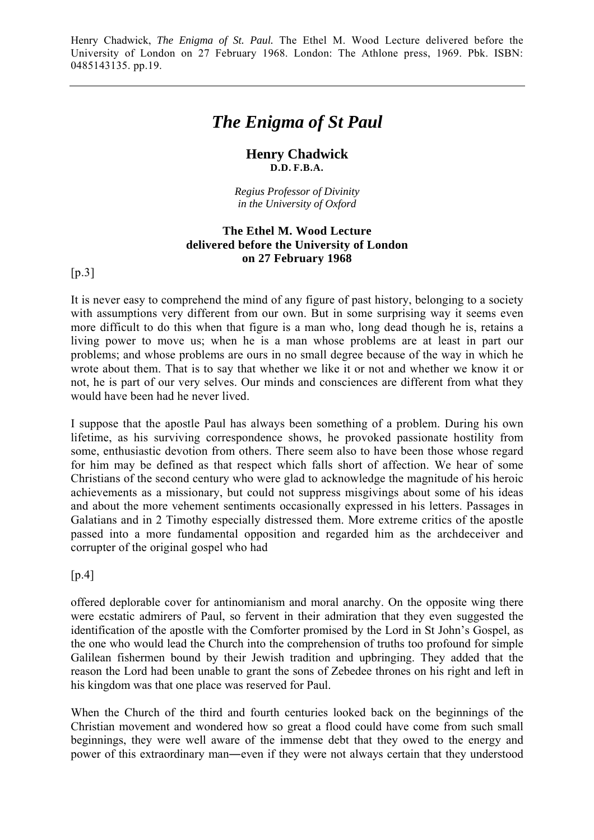# *The Enigma of St Paul*

## **Henry Chadwick D.D. F.B.A.**

*Regius Professor of Divinity in the University of Oxford*

## **The Ethel M. Wood Lecture delivered before the University of London on 27 February 1968**

 $[p.3]$ 

It is never easy to comprehend the mind of any figure of past history, belonging to a society with assumptions very different from our own. But in some surprising way it seems even more difficult to do this when that figure is a man who, long dead though he is, retains a living power to move us; when he is a man whose problems are at least in part our problems; and whose problems are ours in no small degree because of the way in which he wrote about them. That is to say that whether we like it or not and whether we know it or not, he is part of our very selves. Our minds and consciences are different from what they would have been had he never lived.

I suppose that the apostle Paul has always been something of a problem. During his own lifetime, as his surviving correspondence shows, he provoked passionate hostility from some, enthusiastic devotion from others. There seem also to have been those whose regard for him may be defined as that respect which falls short of affection. We hear of some Christians of the second century who were glad to acknowledge the magnitude of his heroic achievements as a missionary, but could not suppress misgivings about some of his ideas and about the more vehement sentiments occasionally expressed in his letters. Passages in Galatians and in 2 Timothy especially distressed them. More extreme critics of the apostle passed into a more fundamental opposition and regarded him as the archdeceiver and corrupter of the original gospel who had

 $[p.4]$ 

offered deplorable cover for antinomianism and moral anarchy. On the opposite wing there were ecstatic admirers of Paul, so fervent in their admiration that they even suggested the identification of the apostle with the Comforter promised by the Lord in St John's Gospel, as the one who would lead the Church into the comprehension of truths too profound for simple Galilean fishermen bound by their Jewish tradition and upbringing. They added that the reason the Lord had been unable to grant the sons of Zebedee thrones on his right and left in his kingdom was that one place was reserved for Paul.

When the Church of the third and fourth centuries looked back on the beginnings of the Christian movement and wondered how so great a flood could have come from such small beginnings, they were well aware of the immense debt that they owed to the energy and power of this extraordinary man―even if they were not always certain that they understood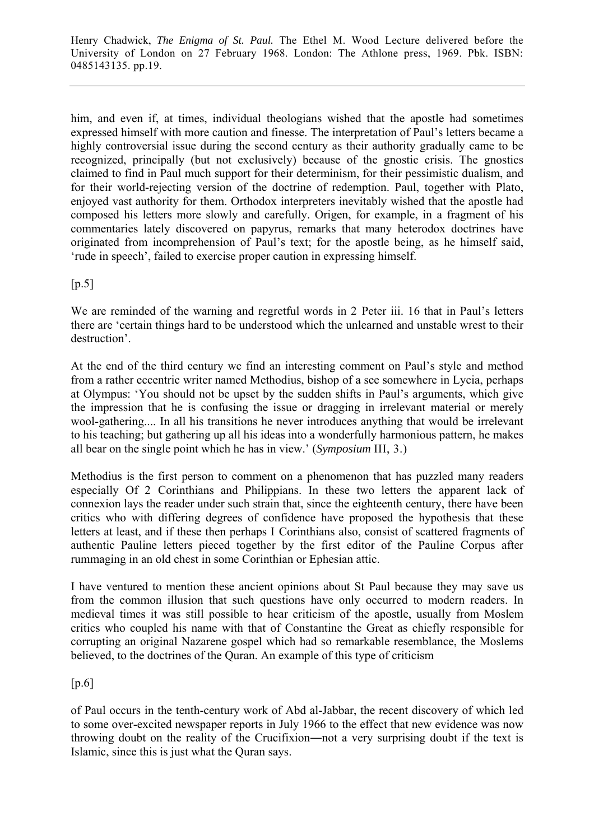him, and even if, at times, individual theologians wished that the apostle had sometimes expressed himself with more caution and finesse. The interpretation of Paul's letters became a highly controversial issue during the second century as their authority gradually came to be recognized, principally (but not exclusively) because of the gnostic crisis. The gnostics claimed to find in Paul much support for their determinism, for their pessimistic dualism, and for their world-rejecting version of the doctrine of redemption. Paul, together with Plato, enjoyed vast authority for them. Orthodox interpreters inevitably wished that the apostle had composed his letters more slowly and carefully. Origen, for example, in a fragment of his commentaries lately discovered on papyrus, remarks that many heterodox doctrines have originated from incomprehension of Paul's text; for the apostle being, as he himself said, 'rude in speech', failed to exercise proper caution in expressing himself.

 $[p.5]$ 

We are reminded of the warning and regretful words in 2 Peter iii. 16 that in Paul's letters there are 'certain things hard to be understood which the unlearned and unstable wrest to their destruction'.

At the end of the third century we find an interesting comment on Paul's style and method from a rather eccentric writer named Methodius, bishop of a see somewhere in Lycia, perhaps at Olympus: 'You should not be upset by the sudden shifts in Paul's arguments, which give the impression that he is confusing the issue or dragging in irrelevant material or merely wool-gathering.... In all his transitions he never introduces anything that would be irrelevant to his teaching; but gathering up all his ideas into a wonderfully harmonious pattern, he makes all bear on the single point which he has in view.' (*Symposium* III, 3.)

Methodius is the first person to comment on a phenomenon that has puzzled many readers especially Of 2 Corinthians and Philippians. In these two letters the apparent lack of connexion lays the reader under such strain that, since the eighteenth century, there have been critics who with differing degrees of confidence have proposed the hypothesis that these letters at least, and if these then perhaps I Corinthians also, consist of scattered fragments of authentic Pauline letters pieced together by the first editor of the Pauline Corpus after rummaging in an old chest in some Corinthian or Ephesian attic.

I have ventured to mention these ancient opinions about St Paul because they may save us from the common illusion that such questions have only occurred to modern readers. In medieval times it was still possible to hear criticism of the apostle, usually from Moslem critics who coupled his name with that of Constantine the Great as chiefly responsible for corrupting an original Nazarene gospel which had so remarkable resemblance, the Moslems believed, to the doctrines of the Quran. An example of this type of criticism

[p.6]

of Paul occurs in the tenth-century work of Abd al-Jabbar, the recent discovery of which led to some over-excited newspaper reports in July 1966 to the effect that new evidence was now throwing doubt on the reality of the Crucifixion―not a very surprising doubt if the text is Islamic, since this is just what the Quran says.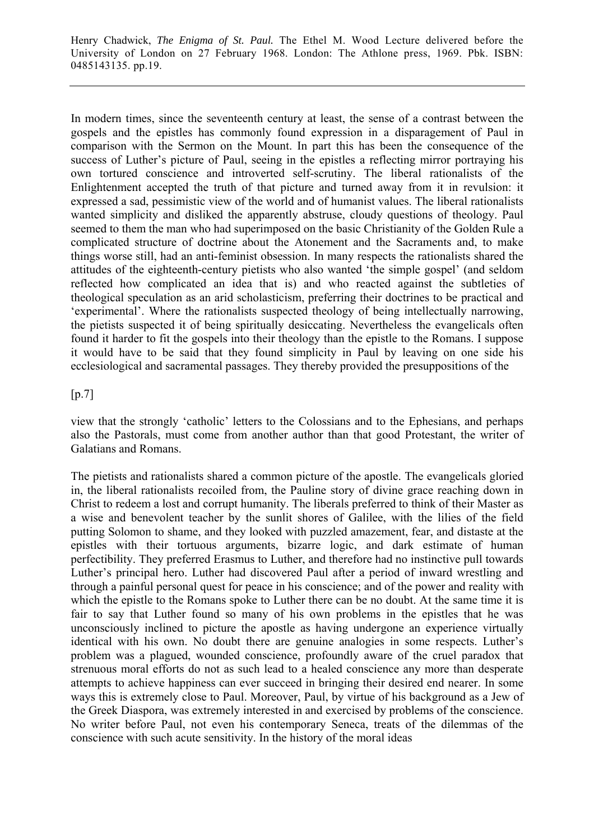In modern times, since the seventeenth century at least, the sense of a contrast between the gospels and the epistles has commonly found expression in a disparagement of Paul in comparison with the Sermon on the Mount. In part this has been the consequence of the success of Luther's picture of Paul, seeing in the epistles a reflecting mirror portraying his own tortured conscience and introverted self-scrutiny. The liberal rationalists of the Enlightenment accepted the truth of that picture and turned away from it in revulsion: it expressed a sad, pessimistic view of the world and of humanist values. The liberal rationalists wanted simplicity and disliked the apparently abstruse, cloudy questions of theology. Paul seemed to them the man who had superimposed on the basic Christianity of the Golden Rule a complicated structure of doctrine about the Atonement and the Sacraments and, to make things worse still, had an anti-feminist obsession. In many respects the rationalists shared the attitudes of the eighteenth-century pietists who also wanted 'the simple gospel' (and seldom reflected how complicated an idea that is) and who reacted against the subtleties of theological speculation as an arid scholasticism, preferring their doctrines to be practical and 'experimental'. Where the rationalists suspected theology of being intellectually narrowing, the pietists suspected it of being spiritually desiccating. Nevertheless the evangelicals often found it harder to fit the gospels into their theology than the epistle to the Romans. I suppose it would have to be said that they found simplicity in Paul by leaving on one side his ecclesiological and sacramental passages. They thereby provided the presuppositions of the

 $[p.7]$ 

view that the strongly 'catholic' letters to the Colossians and to the Ephesians, and perhaps also the Pastorals, must come from another author than that good Protestant, the writer of Galatians and Romans.

The pietists and rationalists shared a common picture of the apostle. The evangelicals gloried in, the liberal rationalists recoiled from, the Pauline story of divine grace reaching down in Christ to redeem a lost and corrupt humanity. The liberals preferred to think of their Master as a wise and benevolent teacher by the sunlit shores of Galilee, with the lilies of the field putting Solomon to shame, and they looked with puzzled amazement, fear, and distaste at the epistles with their tortuous arguments, bizarre logic, and dark estimate of human perfectibility. They preferred Erasmus to Luther, and therefore had no instinctive pull towards Luther's principal hero. Luther had discovered Paul after a period of inward wrestling and through a painful personal quest for peace in his conscience; and of the power and reality with which the epistle to the Romans spoke to Luther there can be no doubt. At the same time it is fair to say that Luther found so many of his own problems in the epistles that he was unconsciously inclined to picture the apostle as having undergone an experience virtually identical with his own. No doubt there are genuine analogies in some respects. Luther's problem was a plagued, wounded conscience, profoundly aware of the cruel paradox that strenuous moral efforts do not as such lead to a healed conscience any more than desperate attempts to achieve happiness can ever succeed in bringing their desired end nearer. In some ways this is extremely close to Paul. Moreover, Paul, by virtue of his background as a Jew of the Greek Diaspora, was extremely interested in and exercised by problems of the conscience. No writer before Paul, not even his contemporary Seneca, treats of the dilemmas of the conscience with such acute sensitivity. In the history of the moral ideas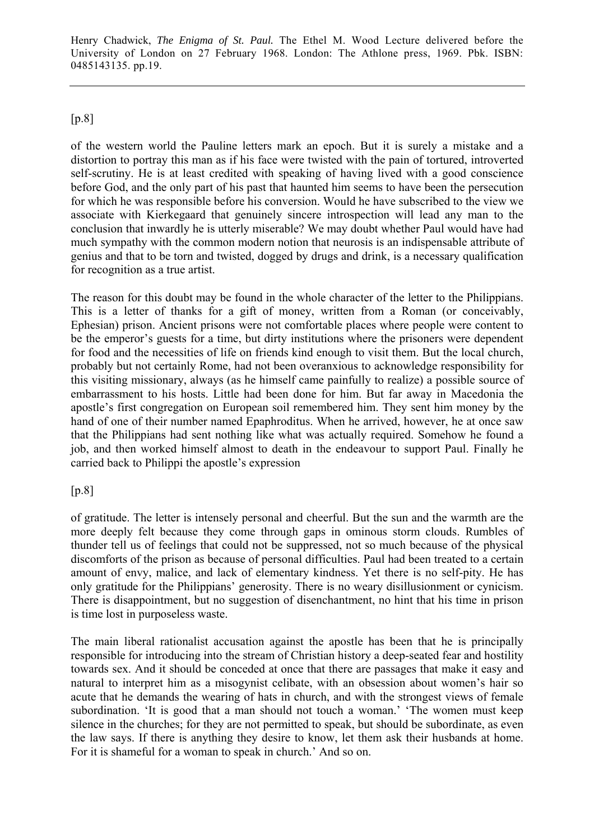# [p.8]

of the western world the Pauline letters mark an epoch. But it is surely a mistake and a distortion to portray this man as if his face were twisted with the pain of tortured, introverted self-scrutiny. He is at least credited with speaking of having lived with a good conscience before God, and the only part of his past that haunted him seems to have been the persecution for which he was responsible before his conversion. Would he have subscribed to the view we associate with Kierkegaard that genuinely sincere introspection will lead any man to the conclusion that inwardly he is utterly miserable? We may doubt whether Paul would have had much sympathy with the common modern notion that neurosis is an indispensable attribute of genius and that to be torn and twisted, dogged by drugs and drink, is a necessary qualification for recognition as a true artist.

The reason for this doubt may be found in the whole character of the letter to the Philippians. This is a letter of thanks for a gift of money, written from a Roman (or conceivably, Ephesian) prison. Ancient prisons were not comfortable places where people were content to be the emperor's guests for a time, but dirty institutions where the prisoners were dependent for food and the necessities of life on friends kind enough to visit them. But the local church, probably but not certainly Rome, had not been overanxious to acknowledge responsibility for this visiting missionary, always (as he himself came painfully to realize) a possible source of embarrassment to his hosts. Little had been done for him. But far away in Macedonia the apostle's first congregation on European soil remembered him. They sent him money by the hand of one of their number named Epaphroditus. When he arrived, however, he at once saw that the Philippians had sent nothing like what was actually required. Somehow he found a job, and then worked himself almost to death in the endeavour to support Paul. Finally he carried back to Philippi the apostle's expression

## [p.8]

of gratitude. The letter is intensely personal and cheerful. But the sun and the warmth are the more deeply felt because they come through gaps in ominous storm clouds. Rumbles of thunder tell us of feelings that could not be suppressed, not so much because of the physical discomforts of the prison as because of personal difficulties. Paul had been treated to a certain amount of envy, malice, and lack of elementary kindness. Yet there is no self-pity. He has only gratitude for the Philippians' generosity. There is no weary disillusionment or cynicism. There is disappointment, but no suggestion of disenchantment, no hint that his time in prison is time lost in purposeless waste.

The main liberal rationalist accusation against the apostle has been that he is principally responsible for introducing into the stream of Christian history a deep-seated fear and hostility towards sex. And it should be conceded at once that there are passages that make it easy and natural to interpret him as a misogynist celibate, with an obsession about women's hair so acute that he demands the wearing of hats in church, and with the strongest views of female subordination. 'It is good that a man should not touch a woman.' 'The women must keep silence in the churches; for they are not permitted to speak, but should be subordinate, as even the law says. If there is anything they desire to know, let them ask their husbands at home. For it is shameful for a woman to speak in church.' And so on.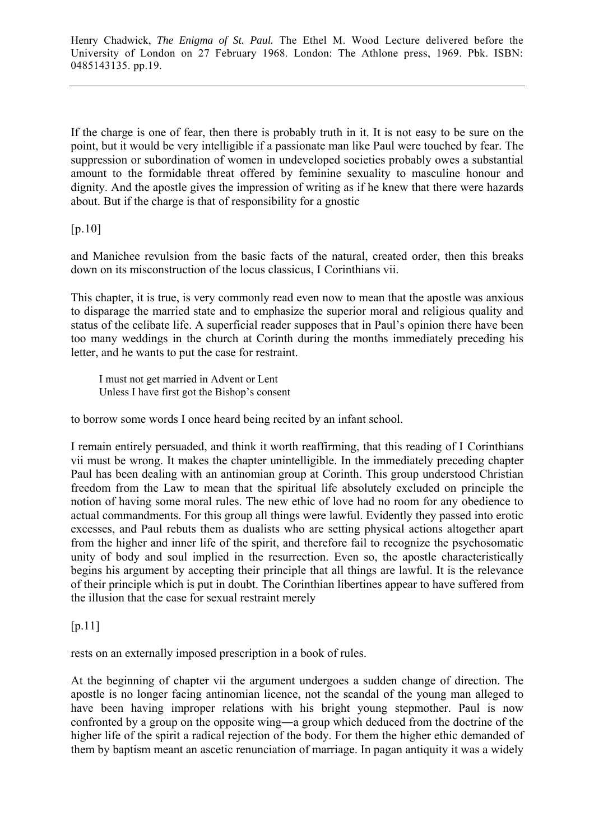If the charge is one of fear, then there is probably truth in it. It is not easy to be sure on the point, but it would be very intelligible if a passionate man like Paul were touched by fear. The suppression or subordination of women in undeveloped societies probably owes a substantial amount to the formidable threat offered by feminine sexuality to masculine honour and dignity. And the apostle gives the impression of writing as if he knew that there were hazards about. But if the charge is that of responsibility for a gnostic

[p.10]

and Manichee revulsion from the basic facts of the natural, created order, then this breaks down on its misconstruction of the locus classicus, I Corinthians vii.

This chapter, it is true, is very commonly read even now to mean that the apostle was anxious to disparage the married state and to emphasize the superior moral and religious quality and status of the celibate life. A superficial reader supposes that in Paul's opinion there have been too many weddings in the church at Corinth during the months immediately preceding his letter, and he wants to put the case for restraint.

I must not get married in Advent or Lent Unless I have first got the Bishop's consent

to borrow some words I once heard being recited by an infant school.

I remain entirely persuaded, and think it worth reaffirming, that this reading of I Corinthians vii must be wrong. It makes the chapter unintelligible. In the immediately preceding chapter Paul has been dealing with an antinomian group at Corinth. This group understood Christian freedom from the Law to mean that the spiritual life absolutely excluded on principle the notion of having some moral rules. The new ethic of love had no room for any obedience to actual commandments. For this group all things were lawful. Evidently they passed into erotic excesses, and Paul rebuts them as dualists who are setting physical actions altogether apart from the higher and inner life of the spirit, and therefore fail to recognize the psychosomatic unity of body and soul implied in the resurrection. Even so, the apostle characteristically begins his argument by accepting their principle that all things are lawful. It is the relevance of their principle which is put in doubt. The Corinthian libertines appear to have suffered from the illusion that the case for sexual restraint merely

[p.11]

rests on an externally imposed prescription in a book of rules.

At the beginning of chapter vii the argument undergoes a sudden change of direction. The apostle is no longer facing antinomian licence, not the scandal of the young man alleged to have been having improper relations with his bright young stepmother. Paul is now confronted by a group on the opposite wing―a group which deduced from the doctrine of the higher life of the spirit a radical rejection of the body. For them the higher ethic demanded of them by baptism meant an ascetic renunciation of marriage. In pagan antiquity it was a widely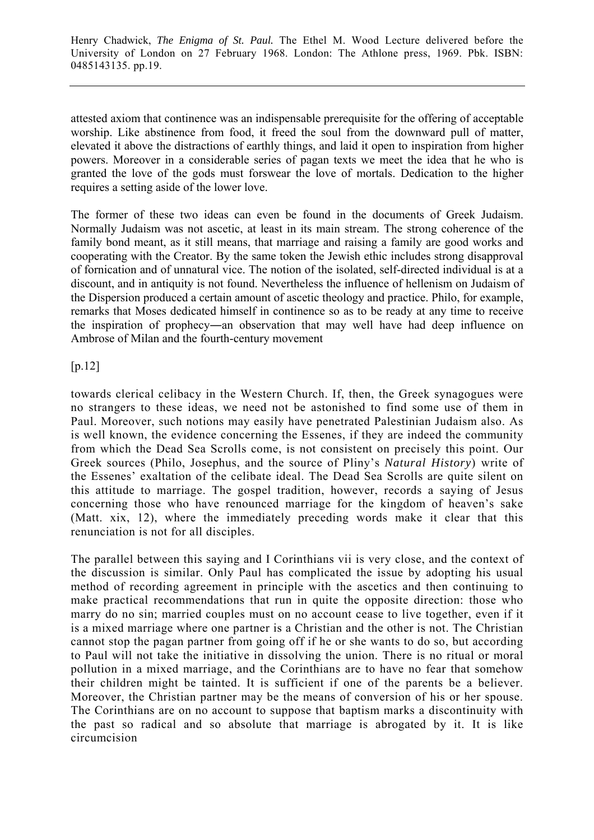attested axiom that continence was an indispensable prerequisite for the offering of acceptable worship. Like abstinence from food, it freed the soul from the downward pull of matter, elevated it above the distractions of earthly things, and laid it open to inspiration from higher powers. Moreover in a considerable series of pagan texts we meet the idea that he who is granted the love of the gods must forswear the love of mortals. Dedication to the higher requires a setting aside of the lower love.

The former of these two ideas can even be found in the documents of Greek Judaism. Normally Judaism was not ascetic, at least in its main stream. The strong coherence of the family bond meant, as it still means, that marriage and raising a family are good works and cooperating with the Creator. By the same token the Jewish ethic includes strong disapproval of fornication and of unnatural vice. The notion of the isolated, self-directed individual is at a discount, and in antiquity is not found. Nevertheless the influence of hellenism on Judaism of the Dispersion produced a certain amount of ascetic theology and practice. Philo, for example, remarks that Moses dedicated himself in continence so as to be ready at any time to receive the inspiration of prophecy―an observation that may well have had deep influence on Ambrose of Milan and the fourth-century movement

[p.12]

towards clerical celibacy in the Western Church. If, then, the Greek synagogues were no strangers to these ideas, we need not be astonished to find some use of them in Paul. Moreover, such notions may easily have penetrated Palestinian Judaism also. As is well known, the evidence concerning the Essenes, if they are indeed the community from which the Dead Sea Scrolls come, is not consistent on precisely this point. Our Greek sources (Philo, Josephus, and the source of Pliny's *Natural History*) write of the Essenes' exaltation of the celibate ideal. The Dead Sea Scrolls are quite silent on this attitude to marriage. The gospel tradition, however, records a saying of Jesus concerning those who have renounced marriage for the kingdom of heaven's sake (Matt. xix, 12), where the immediately preceding words make it clear that this renunciation is not for all disciples.

The parallel between this saying and I Corinthians vii is very close, and the context of the discussion is similar. Only Paul has complicated the issue by adopting his usual method of recording agreement in principle with the ascetics and then continuing to make practical recommendations that run in quite the opposite direction: those who marry do no sin; married couples must on no account cease to live together, even if it is a mixed marriage where one partner is a Christian and the other is not. The Christian cannot stop the pagan partner from going off if he or she wants to do so, but according to Paul will not take the initiative in dissolving the union. There is no ritual or moral pollution in a mixed marriage, and the Corinthians are to have no fear that somehow their children might be tainted. It is sufficient if one of the parents be a believer. Moreover, the Christian partner may be the means of conversion of his or her spouse. The Corinthians are on no account to suppose that baptism marks a discontinuity with the past so radical and so absolute that marriage is abrogated by it. It is like circumcision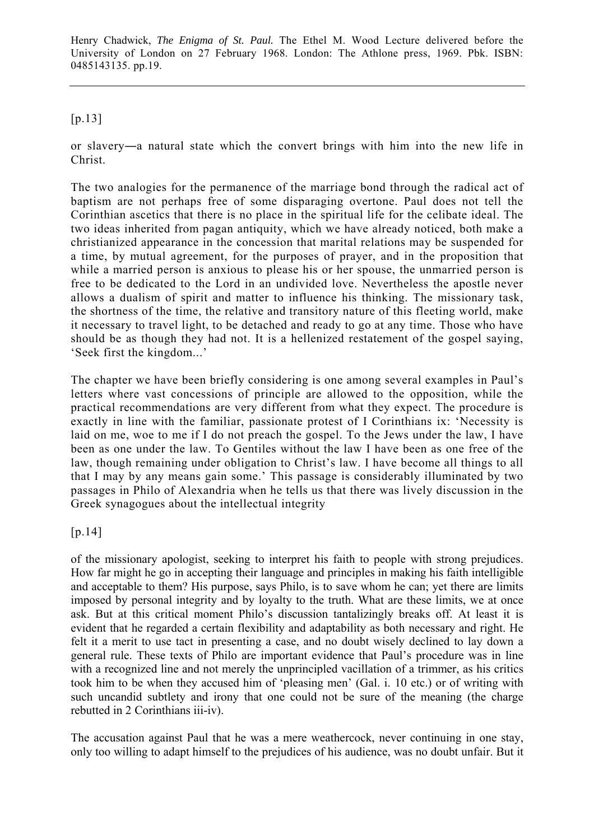## [p.13]

or slavery―a natural state which the convert brings with him into the new life in Christ.

The two analogies for the permanence of the marriage bond through the radical act of baptism are not perhaps free of some disparaging overtone. Paul does not tell the Corinthian ascetics that there is no place in the spiritual life for the celibate ideal. The two ideas inherited from pagan antiquity, which we have already noticed, both make a christianized appearance in the concession that marital relations may be suspended for a time, by mutual agreement, for the purposes of prayer, and in the proposition that while a married person is anxious to please his or her spouse, the unmarried person is free to be dedicated to the Lord in an undivided love. Nevertheless the apostle never allows a dualism of spirit and matter to influence his thinking. The missionary task, the shortness of the time, the relative and transitory nature of this fleeting world, make it necessary to travel light, to be detached and ready to go at any time. Those who have should be as though they had not. It is a hellenized restatement of the gospel saying, 'Seek first the kingdom...'

The chapter we have been briefly considering is one among several examples in Paul's letters where vast concessions of principle are allowed to the opposition, while the practical recommendations are very different from what they expect. The procedure is exactly in line with the familiar, passionate protest of I Corinthians ix: 'Necessity is laid on me, woe to me if I do not preach the gospel. To the Jews under the law, I have been as one under the law. To Gentiles without the law I have been as one free of the law, though remaining under obligation to Christ's law. I have become all things to all that I may by any means gain some.' This passage is considerably illuminated by two passages in Philo of Alexandria when he tells us that there was lively discussion in the Greek synagogues about the intellectual integrity

[p.14]

of the missionary apologist, seeking to interpret his faith to people with strong prejudices. How far might he go in accepting their language and principles in making his faith intelligible and acceptable to them? His purpose, says Philo, is to save whom he can; yet there are limits imposed by personal integrity and by loyalty to the truth. What are these limits, we at once ask. But at this critical moment Philo's discussion tantalizingly breaks off. At least it is evident that he regarded a certain flexibility and adaptability as both necessary and right. He felt it a merit to use tact in presenting a case, and no doubt wisely declined to lay down a general rule. These texts of Philo are important evidence that Paul's procedure was in line with a recognized line and not merely the unprincipled vacillation of a trimmer, as his critics took him to be when they accused him of 'pleasing men' (Gal. i. 10 etc.) or of writing with such uncandid subtlety and irony that one could not be sure of the meaning (the charge rebutted in 2 Corinthians iii-iv).

The accusation against Paul that he was a mere weathercock, never continuing in one stay, only too willing to adapt himself to the prejudices of his audience, was no doubt unfair. But it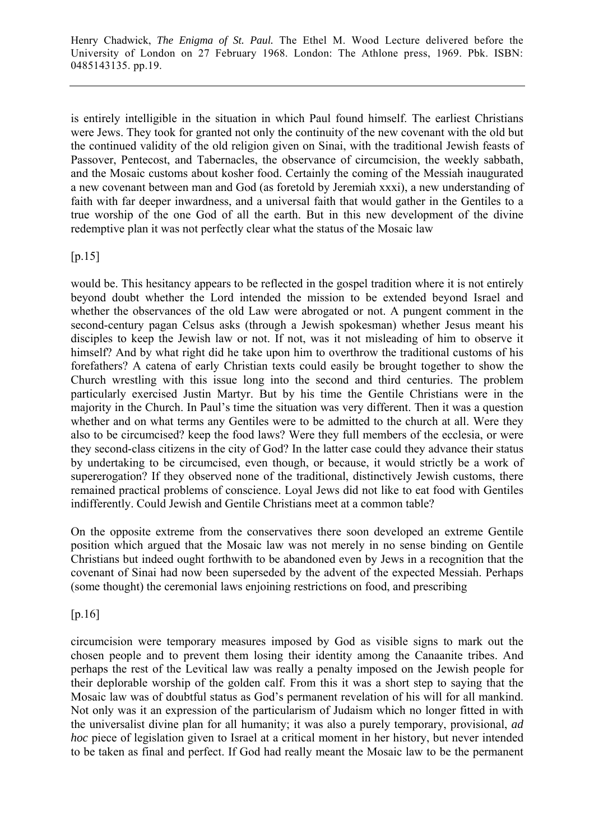is entirely intelligible in the situation in which Paul found himself. The earliest Christians were Jews. They took for granted not only the continuity of the new covenant with the old but the continued validity of the old religion given on Sinai, with the traditional Jewish feasts of Passover, Pentecost, and Tabernacles, the observance of circumcision, the weekly sabbath, and the Mosaic customs about kosher food. Certainly the coming of the Messiah inaugurated a new covenant between man and God (as foretold by Jeremiah xxxi), a new understanding of faith with far deeper inwardness, and a universal faith that would gather in the Gentiles to a true worship of the one God of all the earth. But in this new development of the divine redemptive plan it was not perfectly clear what the status of the Mosaic law

 $[p.15]$ 

would be. This hesitancy appears to be reflected in the gospel tradition where it is not entirely beyond doubt whether the Lord intended the mission to be extended beyond Israel and whether the observances of the old Law were abrogated or not. A pungent comment in the second-century pagan Celsus asks (through a Jewish spokesman) whether Jesus meant his disciples to keep the Jewish law or not. If not, was it not misleading of him to observe it himself? And by what right did he take upon him to overthrow the traditional customs of his forefathers? A catena of early Christian texts could easily be brought together to show the Church wrestling with this issue long into the second and third centuries. The problem particularly exercised Justin Martyr. But by his time the Gentile Christians were in the majority in the Church. In Paul's time the situation was very different. Then it was a question whether and on what terms any Gentiles were to be admitted to the church at all. Were they also to be circumcised? keep the food laws? Were they full members of the ecclesia, or were they second-class citizens in the city of God? In the latter case could they advance their status by undertaking to be circumcised, even though, or because, it would strictly be a work of supererogation? If they observed none of the traditional, distinctively Jewish customs, there remained practical problems of conscience. Loyal Jews did not like to eat food with Gentiles indifferently. Could Jewish and Gentile Christians meet at a common table?

On the opposite extreme from the conservatives there soon developed an extreme Gentile position which argued that the Mosaic law was not merely in no sense binding on Gentile Christians but indeed ought forthwith to be abandoned even by Jews in a recognition that the covenant of Sinai had now been superseded by the advent of the expected Messiah. Perhaps (some thought) the ceremonial laws enjoining restrictions on food, and prescribing

[p.16]

circumcision were temporary measures imposed by God as visible signs to mark out the chosen people and to prevent them losing their identity among the Canaanite tribes. And perhaps the rest of the Levitical law was really a penalty imposed on the Jewish people for their deplorable worship of the golden calf. From this it was a short step to saying that the Mosaic law was of doubtful status as God's permanent revelation of his will for all mankind. Not only was it an expression of the particularism of Judaism which no longer fitted in with the universalist divine plan for all humanity; it was also a purely temporary, provisional, *ad hoc* piece of legislation given to Israel at a critical moment in her history, but never intended to be taken as final and perfect. If God had really meant the Mosaic law to be the permanent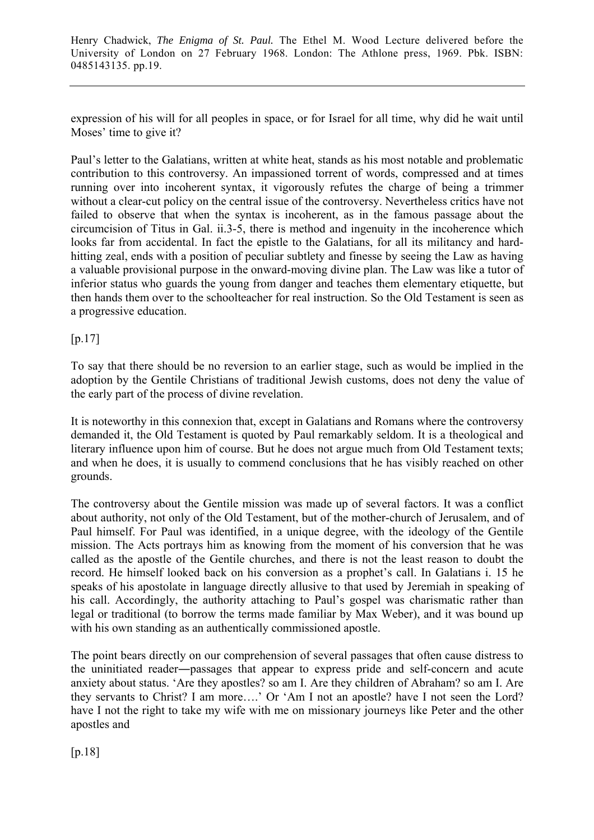expression of his will for all peoples in space, or for Israel for all time, why did he wait until Moses' time to give it?

Paul's letter to the Galatians, written at white heat, stands as his most notable and problematic contribution to this controversy. An impassioned torrent of words, compressed and at times running over into incoherent syntax, it vigorously refutes the charge of being a trimmer without a clear-cut policy on the central issue of the controversy. Nevertheless critics have not failed to observe that when the syntax is incoherent, as in the famous passage about the circumcision of Titus in Gal. ii.3-5, there is method and ingenuity in the incoherence which looks far from accidental. In fact the epistle to the Galatians, for all its militancy and hardhitting zeal, ends with a position of peculiar subtlety and finesse by seeing the Law as having a valuable provisional purpose in the onward-moving divine plan. The Law was like a tutor of inferior status who guards the young from danger and teaches them elementary etiquette, but then hands them over to the schoolteacher for real instruction. So the Old Testament is seen as a progressive education.

[p.17]

To say that there should be no reversion to an earlier stage, such as would be implied in the adoption by the Gentile Christians of traditional Jewish customs, does not deny the value of the early part of the process of divine revelation.

It is noteworthy in this connexion that, except in Galatians and Romans where the controversy demanded it, the Old Testament is quoted by Paul remarkably seldom. It is a theological and literary influence upon him of course. But he does not argue much from Old Testament texts; and when he does, it is usually to commend conclusions that he has visibly reached on other grounds.

The controversy about the Gentile mission was made up of several factors. It was a conflict about authority, not only of the Old Testament, but of the mother-church of Jerusalem, and of Paul himself. For Paul was identified, in a unique degree, with the ideology of the Gentile mission. The Acts portrays him as knowing from the moment of his conversion that he was called as the apostle of the Gentile churches, and there is not the least reason to doubt the record. He himself looked back on his conversion as a prophet's call. In Galatians i. 15 he speaks of his apostolate in language directly allusive to that used by Jeremiah in speaking of his call. Accordingly, the authority attaching to Paul's gospel was charismatic rather than legal or traditional (to borrow the terms made familiar by Max Weber), and it was bound up with his own standing as an authentically commissioned apostle.

The point bears directly on our comprehension of several passages that often cause distress to the uninitiated reader―passages that appear to express pride and self-concern and acute anxiety about status. 'Are they apostles? so am I. Are they children of Abraham? so am I. Are they servants to Christ? I am more….' Or 'Am I not an apostle? have I not seen the Lord? have I not the right to take my wife with me on missionary journeys like Peter and the other apostles and

[p.18]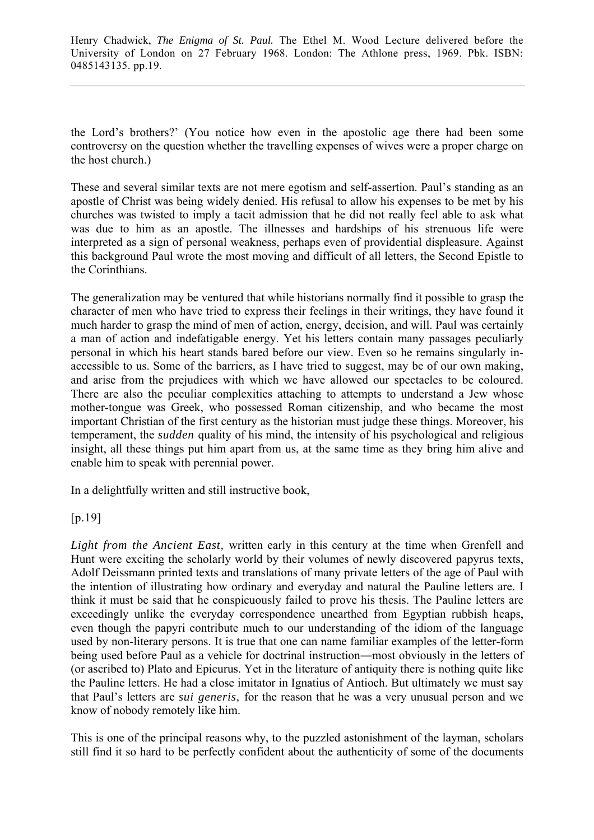the Lord's brothers?' (You notice how even in the apostolic age there had been some controversy on the question whether the travelling expenses of wives were a proper charge on the host church.)

These and several similar texts are not mere egotism and self-assertion. Paul's standing as an apostle of Christ was being widely denied. His refusal to allow his expenses to be met by his churches was twisted to imply a tacit admission that he did not really feel able to ask what was due to him as an apostle. The illnesses and hardships of his strenuous life were interpreted as a sign of personal weakness, perhaps even of providential displeasure. Against this background Paul wrote the most moving and difficult of all letters, the Second Epistle to the Corinthians.

The generalization may be ventured that while historians normally find it possible to grasp the character of men who have tried to express their feelings in their writings, they have found it much harder to grasp the mind of men of action, energy, decision, and will. Paul was certainly a man of action and indefatigable energy. Yet his letters contain many passages peculiarly personal in which his heart stands bared before our view. Even so he remains singularly inaccessible to us. Some of the barriers, as I have tried to suggest, may be of our own making, and arise from the prejudices with which we have allowed our spectacles to be coloured. There are also the peculiar complexities attaching to attempts to understand a Jew whose mother-tongue was Greek, who possessed Roman citizenship, and who became the most important Christian of the first century as the historian must judge these things. Moreover, his temperament, the *sudden* quality of his mind, the intensity of his psychological and religious insight, all these things put him apart from us, at the same time as they bring him alive and enable him to speak with perennial power.

In a delightfully written and still instructive book,

## [p.19]

*Light from the Ancient East,* written early in this century at the time when Grenfell and Hunt were exciting the scholarly world by their volumes of newly discovered papyrus texts, Adolf Deissmann printed texts and translations of many private letters of the age of Paul with the intention of illustrating how ordinary and everyday and natural the Pauline letters are. I think it must be said that he conspicuously failed to prove his thesis. The Pauline letters are exceedingly unlike the everyday correspondence unearthed from Egyptian rubbish heaps, even though the papyri contribute much to our understanding of the idiom of the language used by non-literary persons. It is true that one can name familiar examples of the letter-form being used before Paul as a vehicle for doctrinal instruction―most obviously in the letters of (or ascribed to) Plato and Epicurus. Yet in the literature of antiquity there is nothing quite like the Pauline letters. He had a close imitator in Ignatius of Antioch. But ultimately we must say that Paul's letters are *sui generis,* for the reason that he was a very unusual person and we know of nobody remotely like him.

This is one of the principal reasons why, to the puzzled astonishment of the layman, scholars still find it so hard to be perfectly confident about the authenticity of some of the documents